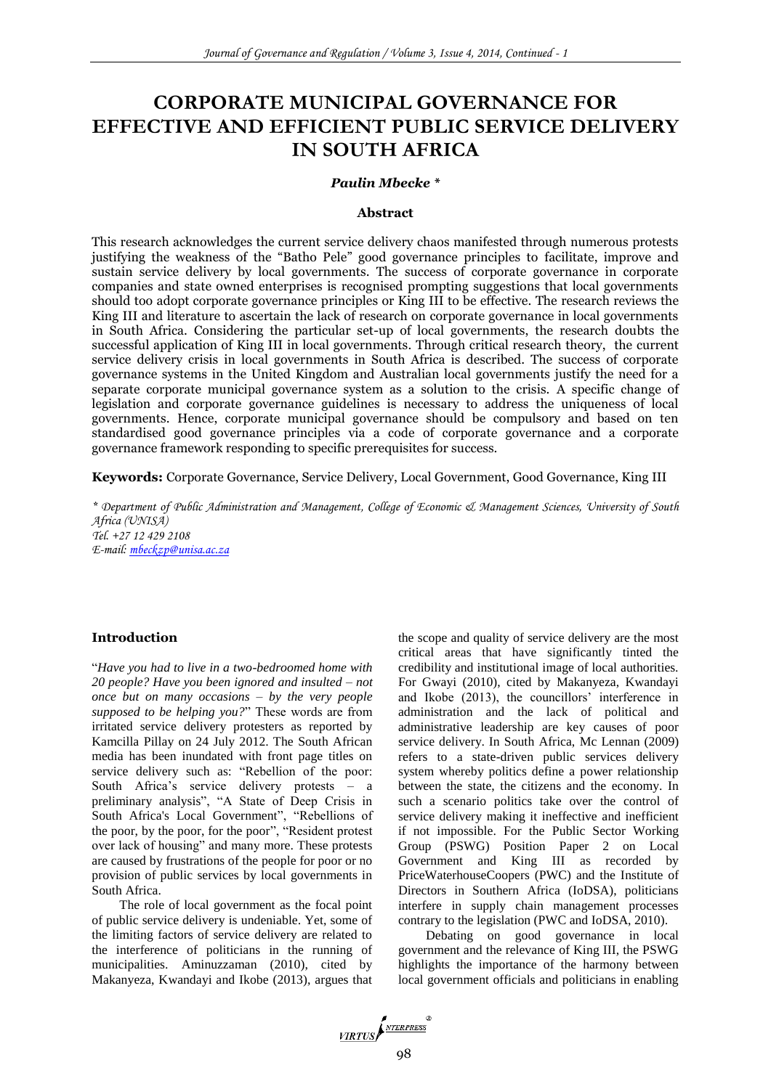# **CORPORATE MUNICIPAL GOVERNANCE FOR EFFECTIVE AND EFFICIENT PUBLIC SERVICE DELIVERY IN SOUTH AFRICA**

#### *Paulin Mbecke \**

#### **Abstract**

This research acknowledges the current service delivery chaos manifested through numerous protests justifying the weakness of the "Batho Pele" good governance principles to facilitate, improve and sustain service delivery by local governments. The success of corporate governance in corporate companies and state owned enterprises is recognised prompting suggestions that local governments should too adopt corporate governance principles or King III to be effective. The research reviews the King III and literature to ascertain the lack of research on corporate governance in local governments in South Africa. Considering the particular set-up of local governments, the research doubts the successful application of King III in local governments. Through critical research theory, the current service delivery crisis in local governments in South Africa is described. The success of corporate governance systems in the United Kingdom and Australian local governments justify the need for a separate corporate municipal governance system as a solution to the crisis. A specific change of legislation and corporate governance guidelines is necessary to address the uniqueness of local governments. Hence, corporate municipal governance should be compulsory and based on ten standardised good governance principles via a code of corporate governance and a corporate governance framework responding to specific prerequisites for success.

**Keywords:** Corporate Governance, Service Delivery, Local Government, Good Governance, King III

*\* Department of Public Administration and Management, College of Economic & Management Sciences, University of South Africa (UNISA) Tel. +27 12 429 2108 E-mail: [mbeckzp@unisa.ac.za](mailto:mbeckzp@unisa.ac.za)*

#### **Introduction**

"*Have you had to live in a two-bedroomed home with 20 people? Have you been ignored and insulted – not once but on many occasions – by the very people supposed to be helping you?*" These words are from irritated service delivery protesters as reported by Kamcilla Pillay on 24 July 2012. The South African media has been inundated with front page titles on service delivery such as: "Rebellion of the poor: South Africa's service delivery protests – a preliminary analysis", "A State of Deep Crisis in South Africa's Local Government", "Rebellions of the poor, by the poor, for the poor", "Resident protest over lack of housing" and many more. These protests are caused by frustrations of the people for poor or no provision of public services by local governments in South Africa.

The role of local government as the focal point of public service delivery is undeniable. Yet, some of the limiting factors of service delivery are related to the interference of politicians in the running of municipalities. Aminuzzaman (2010), cited by Makanyeza, Kwandayi and Ikobe (2013), argues that

the scope and quality of service delivery are the most critical areas that have significantly tinted the credibility and institutional image of local authorities. For Gwayi (2010), cited by Makanyeza, Kwandayi and Ikobe (2013), the councillors' interference in administration and the lack of political and administrative leadership are key causes of poor service delivery. In South Africa, Mc Lennan (2009) refers to a state-driven public services delivery system whereby politics define a power relationship between the state, the citizens and the economy. In such a scenario politics take over the control of service delivery making it ineffective and inefficient if not impossible. For the Public Sector Working Group (PSWG) Position Paper 2 on Local Government and King III as recorded by PriceWaterhouseCoopers (PWC) and the Institute of Directors in Southern Africa (IoDSA), politicians interfere in supply chain management processes contrary to the legislation (PWC and IoDSA, 2010).

Debating on good governance in local government and the relevance of King III, the PSWG highlights the importance of the harmony between local government officials and politicians in enabling

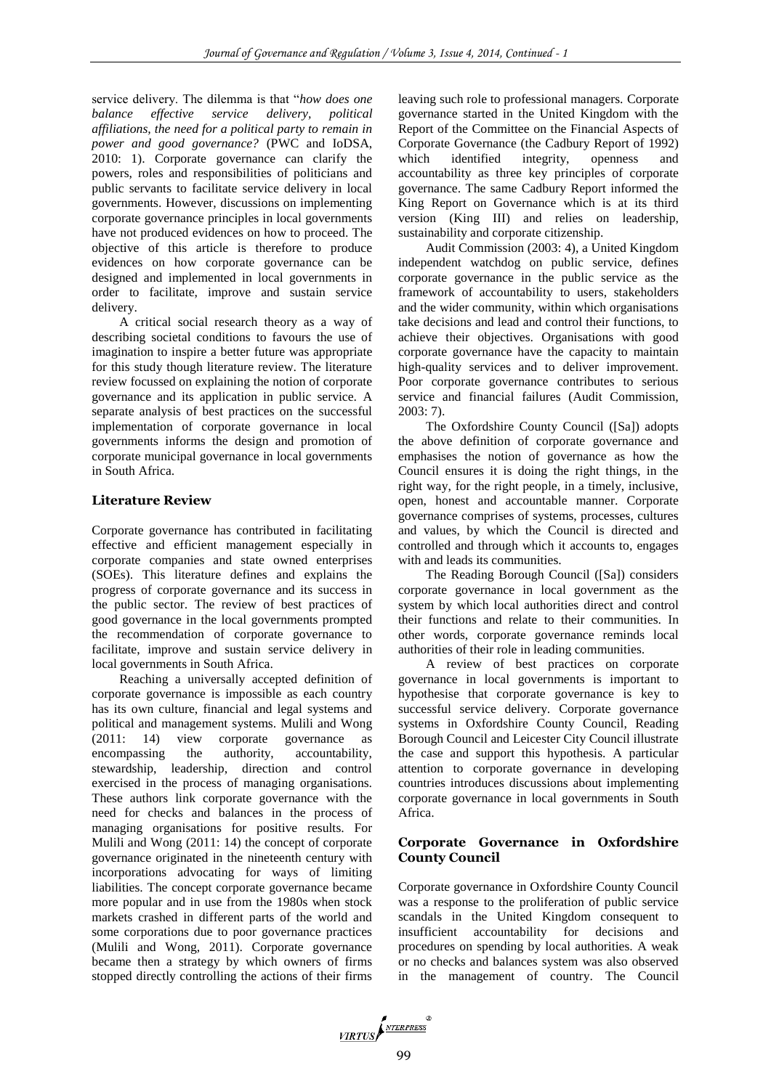service delivery. The dilemma is that "*how does one balance effective service delivery, political affiliations, the need for a political party to remain in power and good governance?* (PWC and IoDSA, 2010: 1). Corporate governance can clarify the powers, roles and responsibilities of politicians and public servants to facilitate service delivery in local governments. However, discussions on implementing corporate governance principles in local governments have not produced evidences on how to proceed. The objective of this article is therefore to produce evidences on how corporate governance can be designed and implemented in local governments in order to facilitate, improve and sustain service delivery.

A critical social research theory as a way of describing societal conditions to favours the use of imagination to inspire a better future was appropriate for this study though literature review. The literature review focussed on explaining the notion of corporate governance and its application in public service. A separate analysis of best practices on the successful implementation of corporate governance in local governments informs the design and promotion of corporate municipal governance in local governments in South Africa.

## **Literature Review**

Corporate governance has contributed in facilitating effective and efficient management especially in corporate companies and state owned enterprises (SOEs). This literature defines and explains the progress of corporate governance and its success in the public sector. The review of best practices of good governance in the local governments prompted the recommendation of corporate governance to facilitate, improve and sustain service delivery in local governments in South Africa.

Reaching a universally accepted definition of corporate governance is impossible as each country has its own culture, financial and legal systems and political and management systems. Mulili and Wong (2011: 14) view corporate governance as encompassing the authority, accountability, stewardship, leadership, direction and control exercised in the process of managing organisations. These authors link corporate governance with the need for checks and balances in the process of managing organisations for positive results. For Mulili and Wong (2011: 14) the concept of corporate governance originated in the nineteenth century with incorporations advocating for ways of limiting liabilities. The concept corporate governance became more popular and in use from the 1980s when stock markets crashed in different parts of the world and some corporations due to poor governance practices (Mulili and Wong, 2011). Corporate governance became then a strategy by which owners of firms stopped directly controlling the actions of their firms

leaving such role to professional managers. Corporate governance started in the United Kingdom with the Report of the Committee on the Financial Aspects of Corporate Governance (the Cadbury Report of 1992) which identified integrity, openness and accountability as three key principles of corporate governance. The same Cadbury Report informed the King Report on Governance which is at its third version (King III) and relies on leadership, sustainability and corporate citizenship.

Audit Commission (2003: 4), a United Kingdom independent watchdog on public service, defines corporate governance in the public service as the framework of accountability to users, stakeholders and the wider community, within which organisations take decisions and lead and control their functions, to achieve their objectives. Organisations with good corporate governance have the capacity to maintain high-quality services and to deliver improvement. Poor corporate governance contributes to serious service and financial failures (Audit Commission, 2003: 7).

The Oxfordshire County Council ([Sa]) adopts the above definition of corporate governance and emphasises the notion of governance as how the Council ensures it is doing the right things, in the right way, for the right people, in a timely, inclusive, open, honest and accountable manner. Corporate governance comprises of systems, processes, cultures and values, by which the Council is directed and controlled and through which it accounts to, engages with and leads its communities.

The Reading Borough Council ([Sa]) considers corporate governance in local government as the system by which local authorities direct and control their functions and relate to their communities. In other words, corporate governance reminds local authorities of their role in leading communities.

A review of best practices on corporate governance in local governments is important to hypothesise that corporate governance is key to successful service delivery. Corporate governance systems in Oxfordshire County Council, Reading Borough Council and Leicester City Council illustrate the case and support this hypothesis. A particular attention to corporate governance in developing countries introduces discussions about implementing corporate governance in local governments in South Africa.

## **Corporate Governance in Oxfordshire County Council**

Corporate governance in Oxfordshire County Council was a response to the proliferation of public service scandals in the United Kingdom consequent to insufficient accountability for decisions and procedures on spending by local authorities. A weak or no checks and balances system was also observed in the management of country. The Council

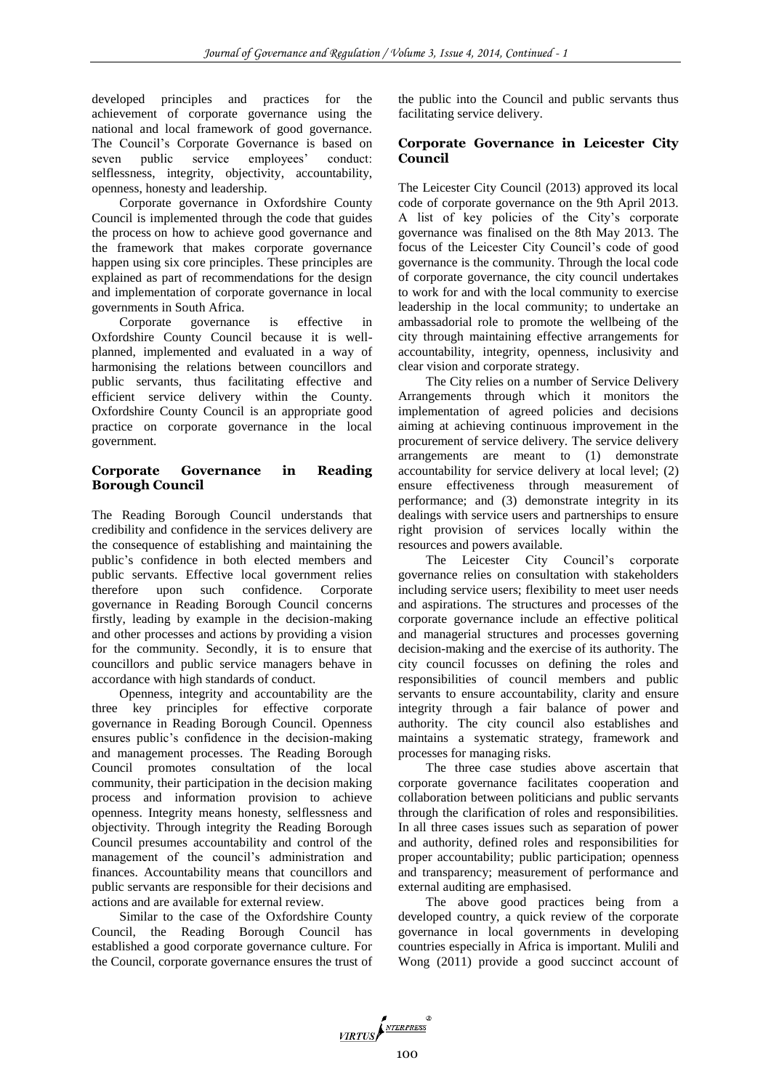developed principles and practices for the achievement of corporate governance using the national and local framework of good governance. The Council's Corporate Governance is based on seven public service employees' conduct: selflessness, integrity, objectivity, accountability, openness, honesty and leadership.

Corporate governance in Oxfordshire County Council is implemented through the code that guides the process on how to achieve good governance and the framework that makes corporate governance happen using six core principles. These principles are explained as part of recommendations for the design and implementation of corporate governance in local governments in South Africa.

Corporate governance is effective in Oxfordshire County Council because it is wellplanned, implemented and evaluated in a way of harmonising the relations between councillors and public servants, thus facilitating effective and efficient service delivery within the County. Oxfordshire County Council is an appropriate good practice on corporate governance in the local government.

## **Corporate Governance in Reading Borough Council**

The Reading Borough Council understands that credibility and confidence in the services delivery are the consequence of establishing and maintaining the public's confidence in both elected members and public servants. Effective local government relies therefore upon such confidence. Corporate governance in Reading Borough Council concerns firstly, leading by example in the decision-making and other processes and actions by providing a vision for the community. Secondly, it is to ensure that councillors and public service managers behave in accordance with high standards of conduct.

Openness, integrity and accountability are the three key principles for effective corporate governance in Reading Borough Council. Openness ensures public's confidence in the decision-making and management processes. The Reading Borough Council promotes consultation of the local community, their participation in the decision making process and information provision to achieve openness. Integrity means honesty, selflessness and objectivity. Through integrity the Reading Borough Council presumes accountability and control of the management of the council's administration and finances. Accountability means that councillors and public servants are responsible for their decisions and actions and are available for external review.

Similar to the case of the Oxfordshire County Council, the Reading Borough Council has established a good corporate governance culture. For the Council, corporate governance ensures the trust of the public into the Council and public servants thus facilitating service delivery.

# **Corporate Governance in Leicester City Council**

The Leicester City Council (2013) approved its local code of corporate governance on the 9th April 2013. A list of key policies of the City's corporate governance was finalised on the 8th May 2013. The focus of the Leicester City Council's code of good governance is the community. Through the local code of corporate governance, the city council undertakes to work for and with the local community to exercise leadership in the local community; to undertake an ambassadorial role to promote the wellbeing of the city through maintaining effective arrangements for accountability, integrity, openness, inclusivity and clear vision and corporate strategy.

The City relies on a number of Service Delivery Arrangements through which it monitors the implementation of agreed policies and decisions aiming at achieving continuous improvement in the procurement of service delivery. The service delivery arrangements are meant to (1) demonstrate accountability for service delivery at local level; (2) ensure effectiveness through measurement of performance; and (3) demonstrate integrity in its dealings with service users and partnerships to ensure right provision of services locally within the resources and powers available.

The Leicester City Council's corporate governance relies on consultation with stakeholders including service users; flexibility to meet user needs and aspirations. The structures and processes of the corporate governance include an effective political and managerial structures and processes governing decision-making and the exercise of its authority. The city council focusses on defining the roles and responsibilities of council members and public servants to ensure accountability, clarity and ensure integrity through a fair balance of power and authority. The city council also establishes and maintains a systematic strategy, framework and processes for managing risks.

The three case studies above ascertain that corporate governance facilitates cooperation and collaboration between politicians and public servants through the clarification of roles and responsibilities. In all three cases issues such as separation of power and authority, defined roles and responsibilities for proper accountability; public participation; openness and transparency; measurement of performance and external auditing are emphasised.

The above good practices being from a developed country, a quick review of the corporate governance in local governments in developing countries especially in Africa is important. Mulili and Wong (2011) provide a good succinct account of

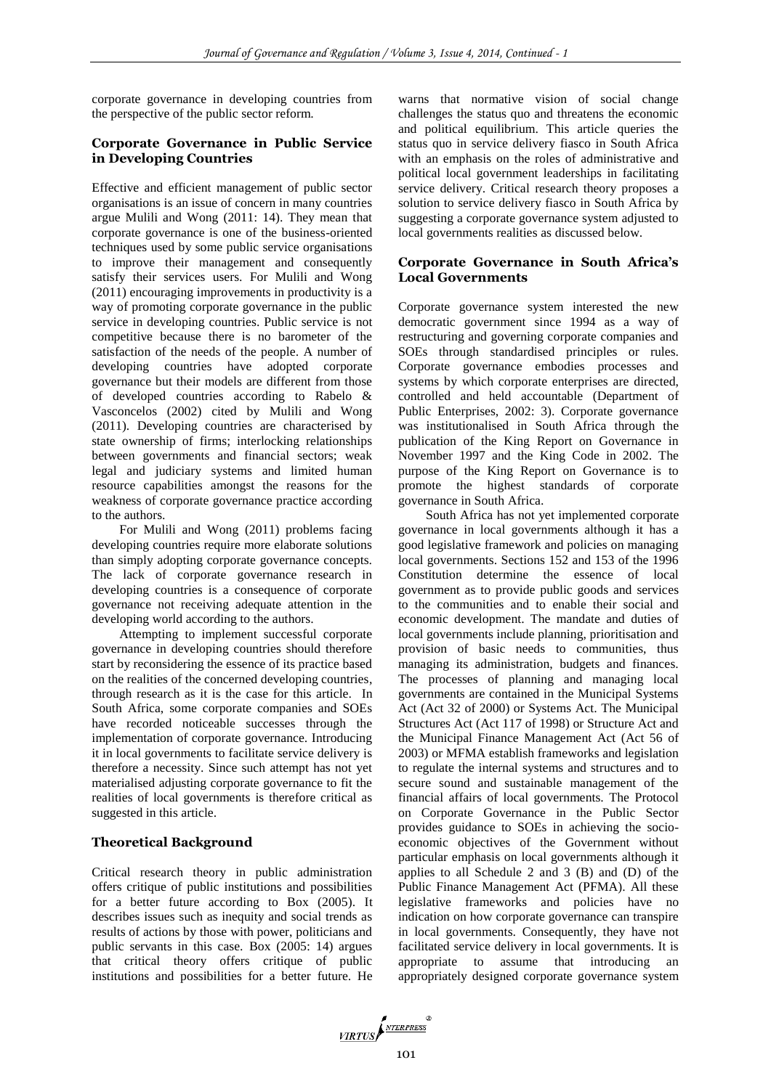corporate governance in developing countries from the perspective of the public sector reform.

# **Corporate Governance in Public Service in Developing Countries**

Effective and efficient management of public sector organisations is an issue of concern in many countries argue Mulili and Wong (2011: 14). They mean that corporate governance is one of the business-oriented techniques used by some public service organisations to improve their management and consequently satisfy their services users. For Mulili and Wong (2011) encouraging improvements in productivity is a way of promoting corporate governance in the public service in developing countries. Public service is not competitive because there is no barometer of the satisfaction of the needs of the people. A number of developing countries have adopted corporate governance but their models are different from those of developed countries according to Rabelo & Vasconcelos (2002) cited by Mulili and Wong (2011). Developing countries are characterised by state ownership of firms; interlocking relationships between governments and financial sectors; weak legal and judiciary systems and limited human resource capabilities amongst the reasons for the weakness of corporate governance practice according to the authors.

For Mulili and Wong (2011) problems facing developing countries require more elaborate solutions than simply adopting corporate governance concepts. The lack of corporate governance research in developing countries is a consequence of corporate governance not receiving adequate attention in the developing world according to the authors.

Attempting to implement successful corporate governance in developing countries should therefore start by reconsidering the essence of its practice based on the realities of the concerned developing countries, through research as it is the case for this article. In South Africa, some corporate companies and SOEs have recorded noticeable successes through the implementation of corporate governance. Introducing it in local governments to facilitate service delivery is therefore a necessity. Since such attempt has not yet materialised adjusting corporate governance to fit the realities of local governments is therefore critical as suggested in this article.

# **Theoretical Background**

Critical research theory in public administration offers critique of public institutions and possibilities for a better future according to Box (2005). It describes issues such as inequity and social trends as results of actions by those with power, politicians and public servants in this case. Box (2005: 14) argues that critical theory offers critique of public institutions and possibilities for a better future. He

warns that normative vision of social change challenges the status quo and threatens the economic and political equilibrium. This article queries the status quo in service delivery fiasco in South Africa with an emphasis on the roles of administrative and political local government leaderships in facilitating service delivery. Critical research theory proposes a solution to service delivery fiasco in South Africa by suggesting a corporate governance system adjusted to local governments realities as discussed below.

# **Corporate Governance in South Africa's Local Governments**

Corporate governance system interested the new democratic government since 1994 as a way of restructuring and governing corporate companies and SOEs through standardised principles or rules. Corporate governance embodies processes and systems by which corporate enterprises are directed, controlled and held accountable (Department of Public Enterprises, 2002: 3). Corporate governance was institutionalised in South Africa through the publication of the King Report on Governance in November 1997 and the King Code in 2002. The purpose of the King Report on Governance is to promote the highest standards of corporate governance in South Africa.

South Africa has not yet implemented corporate governance in local governments although it has a good legislative framework and policies on managing local governments. Sections 152 and 153 of the 1996 Constitution determine the essence of local government as to provide public goods and services to the communities and to enable their social and economic development. The mandate and duties of local governments include planning, prioritisation and provision of basic needs to communities, thus managing its administration, budgets and finances. The processes of planning and managing local governments are contained in the Municipal Systems Act (Act 32 of 2000) or Systems Act. The Municipal Structures Act (Act 117 of 1998) or Structure Act and the Municipal Finance Management Act (Act 56 of 2003) or MFMA establish frameworks and legislation to regulate the internal systems and structures and to secure sound and sustainable management of the financial affairs of local governments. The Protocol on Corporate Governance in the Public Sector provides guidance to SOEs in achieving the socioeconomic objectives of the Government without particular emphasis on local governments although it applies to all Schedule 2 and 3 (B) and (D) of the Public Finance Management Act (PFMA). All these legislative frameworks and policies have no indication on how corporate governance can transpire in local governments. Consequently, they have not facilitated service delivery in local governments. It is appropriate to assume that introducing an appropriately designed corporate governance system

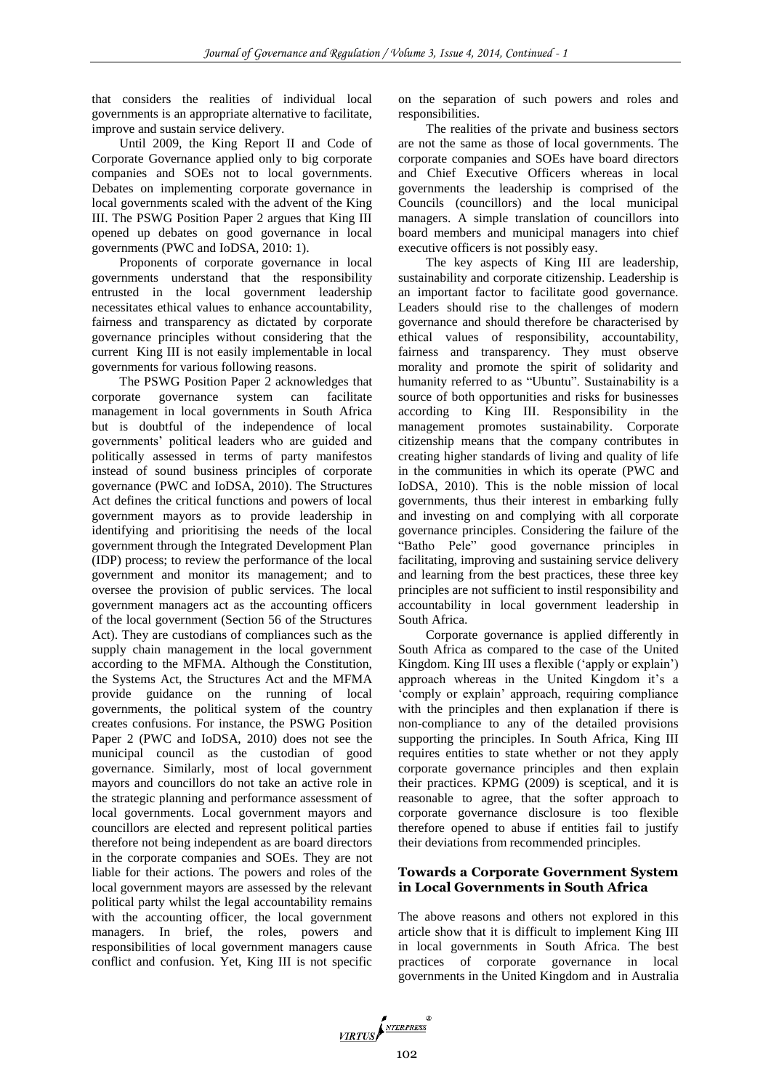that considers the realities of individual local governments is an appropriate alternative to facilitate, improve and sustain service delivery.

Until 2009, the King Report II and Code of Corporate Governance applied only to big corporate companies and SOEs not to local governments. Debates on implementing corporate governance in local governments scaled with the advent of the King III. The PSWG Position Paper 2 argues that King III opened up debates on good governance in local governments (PWC and IoDSA, 2010: 1).

Proponents of corporate governance in local governments understand that the responsibility entrusted in the local government leadership necessitates ethical values to enhance accountability, fairness and transparency as dictated by corporate governance principles without considering that the current King III is not easily implementable in local governments for various following reasons.

The PSWG Position Paper 2 acknowledges that corporate governance system can facilitate management in local governments in South Africa but is doubtful of the independence of local governments' political leaders who are guided and politically assessed in terms of party manifestos instead of sound business principles of corporate governance (PWC and IoDSA, 2010). The Structures Act defines the critical functions and powers of local government mayors as to provide leadership in identifying and prioritising the needs of the local government through the Integrated Development Plan (IDP) process; to review the performance of the local government and monitor its management; and to oversee the provision of public services. The local government managers act as the accounting officers of the local government (Section 56 of the Structures Act). They are custodians of compliances such as the supply chain management in the local government according to the MFMA. Although the Constitution, the Systems Act, the Structures Act and the MFMA provide guidance on the running of local governments, the political system of the country creates confusions. For instance, the PSWG Position Paper 2 (PWC and IoDSA, 2010) does not see the municipal council as the custodian of good governance. Similarly, most of local government mayors and councillors do not take an active role in the strategic planning and performance assessment of local governments. Local government mayors and councillors are elected and represent political parties therefore not being independent as are board directors in the corporate companies and SOEs. They are not liable for their actions. The powers and roles of the local government mayors are assessed by the relevant political party whilst the legal accountability remains with the accounting officer, the local government managers. In brief, the roles, powers and responsibilities of local government managers cause conflict and confusion. Yet, King III is not specific

on the separation of such powers and roles and responsibilities.

The realities of the private and business sectors are not the same as those of local governments. The corporate companies and SOEs have board directors and Chief Executive Officers whereas in local governments the leadership is comprised of the Councils (councillors) and the local municipal managers. A simple translation of councillors into board members and municipal managers into chief executive officers is not possibly easy.

The key aspects of King III are leadership, sustainability and corporate citizenship. Leadership is an important factor to facilitate good governance. Leaders should rise to the challenges of modern governance and should therefore be characterised by ethical values of responsibility, accountability, fairness and transparency. They must observe morality and promote the spirit of solidarity and humanity referred to as "Ubuntu". Sustainability is a source of both opportunities and risks for businesses according to King III. Responsibility in the management promotes sustainability. Corporate citizenship means that the company contributes in creating higher standards of living and quality of life in the communities in which its operate (PWC and IoDSA, 2010). This is the noble mission of local governments, thus their interest in embarking fully and investing on and complying with all corporate governance principles. Considering the failure of the "Batho Pele" good governance principles in facilitating, improving and sustaining service delivery and learning from the best practices, these three key principles are not sufficient to instil responsibility and accountability in local government leadership in South Africa.

Corporate governance is applied differently in South Africa as compared to the case of the United Kingdom. King III uses a flexible ('apply or explain') approach whereas in the United Kingdom it's a 'comply or explain' approach, requiring compliance with the principles and then explanation if there is non-compliance to any of the detailed provisions supporting the principles. In South Africa, King III requires entities to state whether or not they apply corporate governance principles and then explain their practices. KPMG (2009) is sceptical, and it is reasonable to agree, that the softer approach to corporate governance disclosure is too flexible therefore opened to abuse if entities fail to justify their deviations from recommended principles.

# **Towards a Corporate Government System in Local Governments in South Africa**

The above reasons and others not explored in this article show that it is difficult to implement King III in local governments in South Africa. The best practices of corporate governance in local governments in the United Kingdom and in Australia

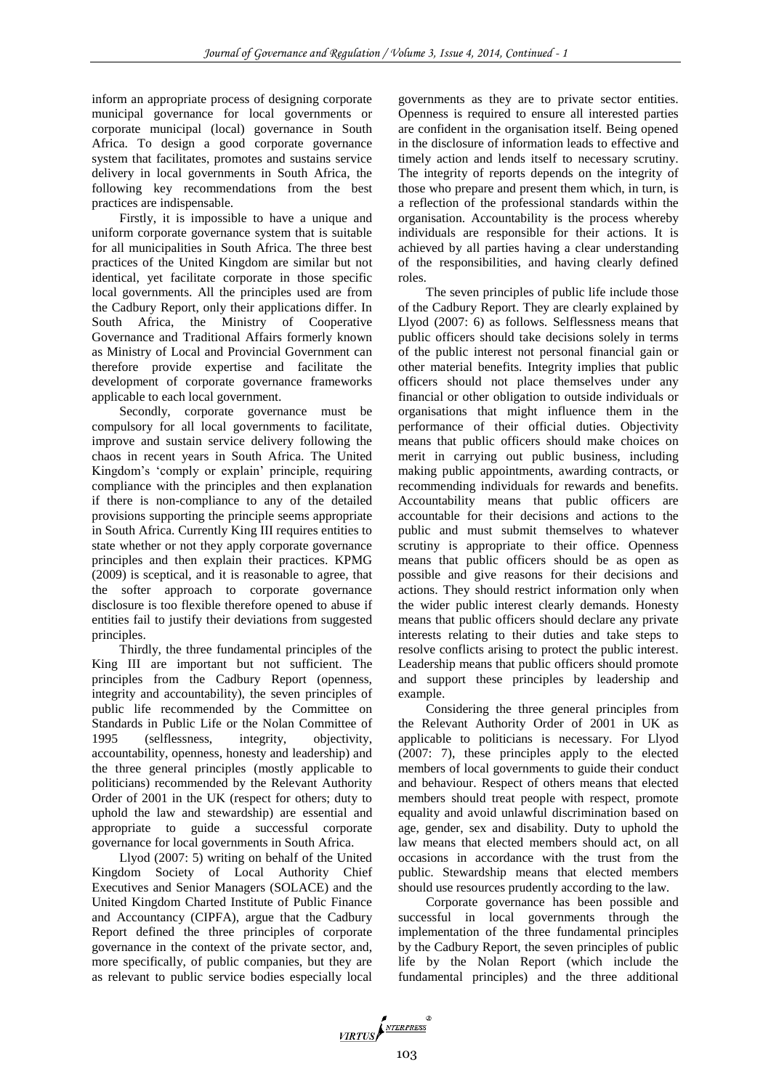inform an appropriate process of designing corporate municipal governance for local governments or corporate municipal (local) governance in South Africa. To design a good corporate governance system that facilitates, promotes and sustains service delivery in local governments in South Africa, the following key recommendations from the best practices are indispensable.

Firstly, it is impossible to have a unique and uniform corporate governance system that is suitable for all municipalities in South Africa. The three best practices of the United Kingdom are similar but not identical, yet facilitate corporate in those specific local governments. All the principles used are from the Cadbury Report, only their applications differ. In South Africa, the Ministry of Cooperative Governance and Traditional Affairs formerly known as Ministry of Local and Provincial Government can therefore provide expertise and facilitate the development of corporate governance frameworks applicable to each local government.

Secondly, corporate governance must be compulsory for all local governments to facilitate, improve and sustain service delivery following the chaos in recent years in South Africa. The United Kingdom's 'comply or explain' principle, requiring compliance with the principles and then explanation if there is non-compliance to any of the detailed provisions supporting the principle seems appropriate in South Africa. Currently King III requires entities to state whether or not they apply corporate governance principles and then explain their practices. KPMG (2009) is sceptical, and it is reasonable to agree, that the softer approach to corporate governance disclosure is too flexible therefore opened to abuse if entities fail to justify their deviations from suggested principles.

Thirdly, the three fundamental principles of the King III are important but not sufficient. The principles from the Cadbury Report (openness, integrity and accountability), the seven principles of public life recommended by the Committee on Standards in Public Life or the Nolan Committee of 1995 (selflessness, integrity, objectivity, accountability, openness, honesty and leadership) and the three general principles (mostly applicable to politicians) recommended by the Relevant Authority Order of 2001 in the UK (respect for others; duty to uphold the law and stewardship) are essential and appropriate to guide a successful corporate governance for local governments in South Africa.

Llyod (2007: 5) writing on behalf of the United Kingdom Society of Local Authority Chief Executives and Senior Managers (SOLACE) and the United Kingdom Charted Institute of Public Finance and Accountancy (CIPFA), argue that the Cadbury Report defined the three principles of corporate governance in the context of the private sector, and, more specifically, of public companies, but they are as relevant to public service bodies especially local

governments as they are to private sector entities. Openness is required to ensure all interested parties are confident in the organisation itself. Being opened in the disclosure of information leads to effective and timely action and lends itself to necessary scrutiny. The integrity of reports depends on the integrity of those who prepare and present them which, in turn, is a reflection of the professional standards within the organisation. Accountability is the process whereby individuals are responsible for their actions. It is achieved by all parties having a clear understanding of the responsibilities, and having clearly defined roles.

The seven principles of public life include those of the Cadbury Report. They are clearly explained by Llyod (2007: 6) as follows. Selflessness means that public officers should take decisions solely in terms of the public interest not personal financial gain or other material benefits. Integrity implies that public officers should not place themselves under any financial or other obligation to outside individuals or organisations that might influence them in the performance of their official duties. Objectivity means that public officers should make choices on merit in carrying out public business, including making public appointments, awarding contracts, or recommending individuals for rewards and benefits. Accountability means that public officers are accountable for their decisions and actions to the public and must submit themselves to whatever scrutiny is appropriate to their office. Openness means that public officers should be as open as possible and give reasons for their decisions and actions. They should restrict information only when the wider public interest clearly demands. Honesty means that public officers should declare any private interests relating to their duties and take steps to resolve conflicts arising to protect the public interest. Leadership means that public officers should promote and support these principles by leadership and example.

Considering the three general principles from the Relevant Authority Order of 2001 in UK as applicable to politicians is necessary. For Llyod (2007: 7), these principles apply to the elected members of local governments to guide their conduct and behaviour. Respect of others means that elected members should treat people with respect, promote equality and avoid unlawful discrimination based on age, gender, sex and disability. Duty to uphold the law means that elected members should act, on all occasions in accordance with the trust from the public. Stewardship means that elected members should use resources prudently according to the law.

Corporate governance has been possible and successful in local governments through the implementation of the three fundamental principles by the Cadbury Report, the seven principles of public life by the Nolan Report (which include the fundamental principles) and the three additional

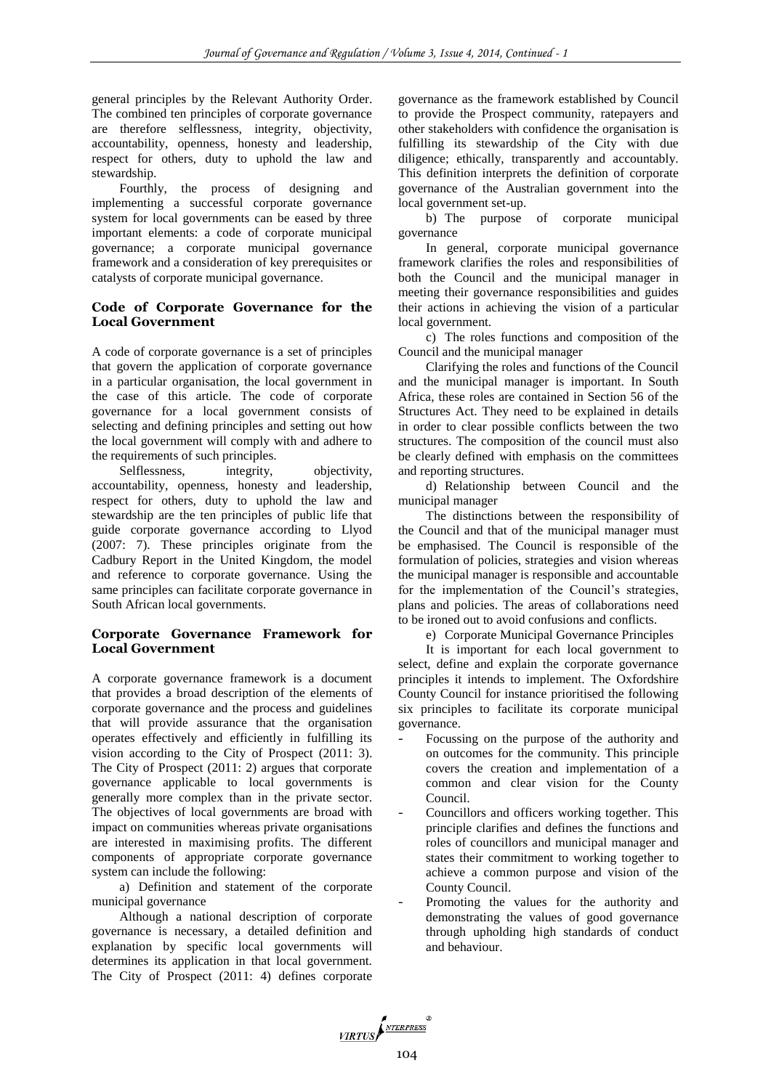general principles by the Relevant Authority Order. The combined ten principles of corporate governance are therefore selflessness, integrity, objectivity, accountability, openness, honesty and leadership, respect for others, duty to uphold the law and stewardship.

Fourthly, the process of designing and implementing a successful corporate governance system for local governments can be eased by three important elements: a code of corporate municipal governance; a corporate municipal governance framework and a consideration of key prerequisites or catalysts of corporate municipal governance.

# **Code of Corporate Governance for the Local Government**

A code of corporate governance is a set of principles that govern the application of corporate governance in a particular organisation, the local government in the case of this article. The code of corporate governance for a local government consists of selecting and defining principles and setting out how the local government will comply with and adhere to the requirements of such principles.

Selflessness, integrity, objectivity, accountability, openness, honesty and leadership, respect for others, duty to uphold the law and stewardship are the ten principles of public life that guide corporate governance according to Llyod (2007: 7). These principles originate from the Cadbury Report in the United Kingdom, the model and reference to corporate governance. Using the same principles can facilitate corporate governance in South African local governments.

# **Corporate Governance Framework for Local Government**

A corporate governance framework is a document that provides a broad description of the elements of corporate governance and the process and guidelines that will provide assurance that the organisation operates effectively and efficiently in fulfilling its vision according to the City of Prospect (2011: 3). The City of Prospect (2011: 2) argues that corporate governance applicable to local governments is generally more complex than in the private sector. The objectives of local governments are broad with impact on communities whereas private organisations are interested in maximising profits. The different components of appropriate corporate governance system can include the following:

a) Definition and statement of the corporate municipal governance

Although a national description of corporate governance is necessary, a detailed definition and explanation by specific local governments will determines its application in that local government. The City of Prospect (2011: 4) defines corporate

governance as the framework established by Council to provide the Prospect community, ratepayers and other stakeholders with confidence the organisation is fulfilling its stewardship of the City with due diligence; ethically, transparently and accountably. This definition interprets the definition of corporate governance of the Australian government into the local government set-up.

b) The purpose of corporate municipal governance

In general, corporate municipal governance framework clarifies the roles and responsibilities of both the Council and the municipal manager in meeting their governance responsibilities and guides their actions in achieving the vision of a particular local government.

c) The roles functions and composition of the Council and the municipal manager

Clarifying the roles and functions of the Council and the municipal manager is important. In South Africa, these roles are contained in Section 56 of the Structures Act. They need to be explained in details in order to clear possible conflicts between the two structures. The composition of the council must also be clearly defined with emphasis on the committees and reporting structures.

d) Relationship between Council and the municipal manager

The distinctions between the responsibility of the Council and that of the municipal manager must be emphasised. The Council is responsible of the formulation of policies, strategies and vision whereas the municipal manager is responsible and accountable for the implementation of the Council's strategies, plans and policies. The areas of collaborations need to be ironed out to avoid confusions and conflicts.

e) Corporate Municipal Governance Principles

It is important for each local government to select, define and explain the corporate governance principles it intends to implement. The Oxfordshire County Council for instance prioritised the following six principles to facilitate its corporate municipal governance.

- Focussing on the purpose of the authority and on outcomes for the community. This principle covers the creation and implementation of a common and clear vision for the County Council.
- Councillors and officers working together. This principle clarifies and defines the functions and roles of councillors and municipal manager and states their commitment to working together to achieve a common purpose and vision of the County Council.
- Promoting the values for the authority and demonstrating the values of good governance through upholding high standards of conduct and behaviour.

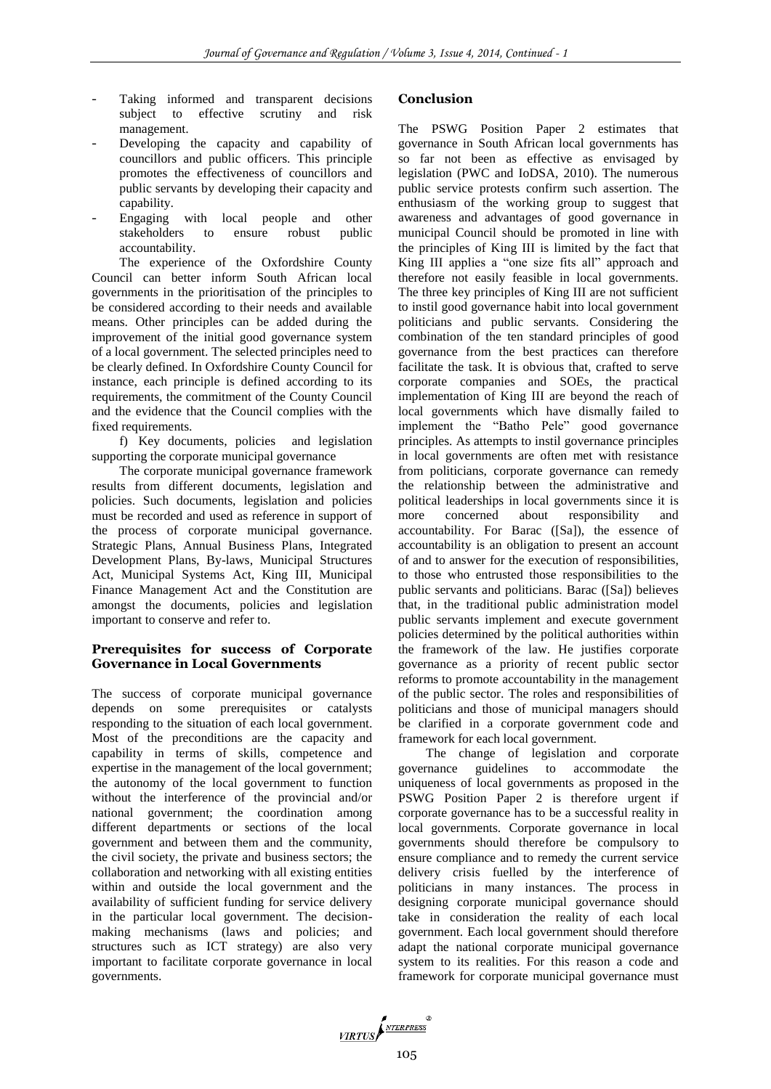- Taking informed and transparent decisions subject to effective scrutiny and risk management.
- Developing the capacity and capability of councillors and public officers. This principle promotes the effectiveness of councillors and public servants by developing their capacity and capability.
- Engaging with local people and other stakeholders to ensure robust public accountability.

The experience of the Oxfordshire County Council can better inform South African local governments in the prioritisation of the principles to be considered according to their needs and available means. Other principles can be added during the improvement of the initial good governance system of a local government. The selected principles need to be clearly defined. In Oxfordshire County Council for instance, each principle is defined according to its requirements, the commitment of the County Council and the evidence that the Council complies with the fixed requirements.

f) Key documents, policies and legislation supporting the corporate municipal governance

The corporate municipal governance framework results from different documents, legislation and policies. Such documents, legislation and policies must be recorded and used as reference in support of the process of corporate municipal governance. Strategic Plans, Annual Business Plans, Integrated Development Plans, By-laws, Municipal Structures Act, Municipal Systems Act, King III, Municipal Finance Management Act and the Constitution are amongst the documents, policies and legislation important to conserve and refer to.

## **Prerequisites for success of Corporate Governance in Local Governments**

The success of corporate municipal governance depends on some prerequisites or catalysts responding to the situation of each local government. Most of the preconditions are the capacity and capability in terms of skills, competence and expertise in the management of the local government; the autonomy of the local government to function without the interference of the provincial and/or national government; the coordination among different departments or sections of the local government and between them and the community, the civil society, the private and business sectors; the collaboration and networking with all existing entities within and outside the local government and the availability of sufficient funding for service delivery in the particular local government. The decisionmaking mechanisms (laws and policies; and structures such as ICT strategy) are also very important to facilitate corporate governance in local governments.

# **Conclusion**

The PSWG Position Paper 2 estimates that governance in South African local governments has so far not been as effective as envisaged by legislation (PWC and IoDSA, 2010). The numerous public service protests confirm such assertion. The enthusiasm of the working group to suggest that awareness and advantages of good governance in municipal Council should be promoted in line with the principles of King III is limited by the fact that King III applies a "one size fits all" approach and therefore not easily feasible in local governments. The three key principles of King III are not sufficient to instil good governance habit into local government politicians and public servants. Considering the combination of the ten standard principles of good governance from the best practices can therefore facilitate the task. It is obvious that, crafted to serve corporate companies and SOEs, the practical implementation of King III are beyond the reach of local governments which have dismally failed to implement the "Batho Pele" good governance principles. As attempts to instil governance principles in local governments are often met with resistance from politicians, corporate governance can remedy the relationship between the administrative and political leaderships in local governments since it is more concerned about responsibility and accountability. For Barac ([Sa]), the essence of accountability is an obligation to present an account of and to answer for the execution of responsibilities, to those who entrusted those responsibilities to the public servants and politicians. Barac ([Sa]) believes that, in the traditional public administration model public servants implement and execute government policies determined by the political authorities within the framework of the law. He justifies corporate governance as a priority of recent public sector reforms to promote accountability in the management of the public sector. The roles and responsibilities of politicians and those of municipal managers should be clarified in a corporate government code and framework for each local government.

The change of legislation and corporate governance guidelines to accommodate the uniqueness of local governments as proposed in the PSWG Position Paper 2 is therefore urgent if corporate governance has to be a successful reality in local governments. Corporate governance in local governments should therefore be compulsory to ensure compliance and to remedy the current service delivery crisis fuelled by the interference of politicians in many instances. The process in designing corporate municipal governance should take in consideration the reality of each local government. Each local government should therefore adapt the national corporate municipal governance system to its realities. For this reason a code and framework for corporate municipal governance must